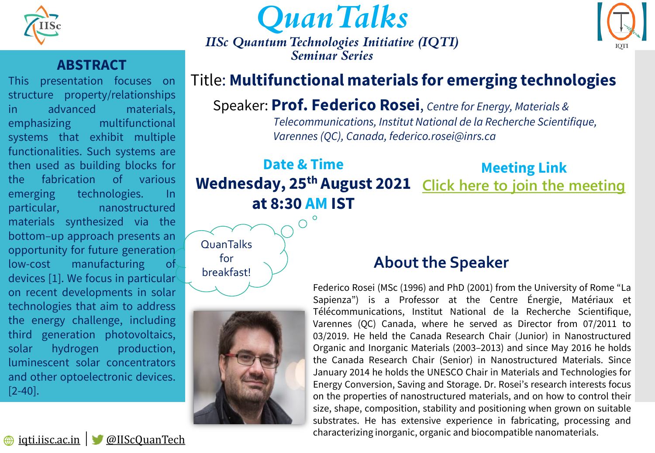



*IISc Quantum Technologies Initiative (IQTI) Seminar Series* 



#### **ABSTRACT**

This presentation focuses on structure property/relationships in advanced materials, emphasizing multifunctional systems that exhibit multiple functionalities. Such systems are then used as building blocks for the fabrication of various emerging technologies. In particular, nanostructured materials synthesized via the bottom–up approach presents an opportunity for future generation low-cost manufacturing of devices [1]. We focus in particular on recent developments in solar technologies that aim to address the energy challenge, including third generation photovoltaics, solar hydrogen production, luminescent solar concentrators and other optoelectronic devices. [2-40].

## Title: **Multifunctional materials for emerging technologies**

### Speaker: **Prof. Federico Rosei**, *Centre for Energy, Materials &*

*Telecommunications, Institut National de la Recherche Scientifique, Varennes (QC), Canada, federico.rosei@inrs.ca*

#### **Date & Time Wednesday, 25th August 2021 [Click here to join the meeting](https://teams.microsoft.com/l/meetup-join/19%3ameeting_NDg1NGQ0ZWUtMGRiYi00MTViLWEwODMtZGViNmQ2YzU0Mjdi%40thread.v2/0?context=%7b%22Tid%22%3a%226f15cd97-f6a7-41e3-b2c5-ad4193976476%22%2c%22Oid%22%3a%22b1e98dc1-4e01-4163-b345-6491abb1028a%22%7d) at 8:30 AM IST Meeting Link**

## **QuanTalks** for breakfast!



## **About the Speaker**

Federico Rosei (MSc (1996) and PhD (2001) from the University of Rome "La Sapienza") is a Professor at the Centre Énergie, Matériaux et Télécommunications, Institut National de la Recherche Scientifique, Varennes (QC) Canada, where he served as Director from 07/2011 to 03/2019. He held the Canada Research Chair (Junior) in Nanostructured Organic and Inorganic Materials (2003–2013) and since May 2016 he holds the Canada Research Chair (Senior) in Nanostructured Materials. Since January 2014 he holds the UNESCO Chair in Materials and Technologies for Energy Conversion, Saving and Storage. Dr. Rosei's research interests focus on the properties of nanostructured materials, and on how to control their size, shape, composition, stability and positioning when grown on suitable substrates. He has extensive experience in fabricating, processing and characterizing inorganic, organic and biocompatible nanomaterials.

[iqti.iisc.ac.in](https://iqti.iisc.ac.in/) │ [@IIScQuanTech](https://twitter.com/IIScQuanTech)